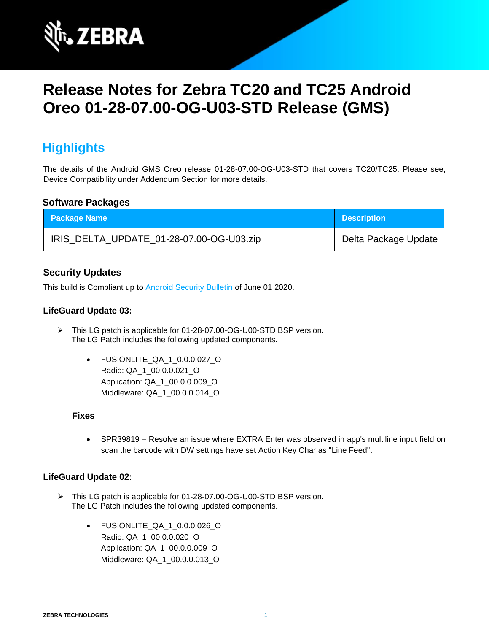

# **Release Notes for Zebra TC20 and TC25 Android Oreo 01-28-07.00-OG-U03-STD Release (GMS)**

# **Highlights**

The details of the Android GMS Oreo release 01-28-07.00-OG-U03-STD that covers TC20/TC25. Please see, Device Compatibility under Addendum Section for more details.

### **Software Packages**

| <b>Package Name</b>                      | <b>Description</b>   |
|------------------------------------------|----------------------|
| IRIS_DELTA_UPDATE_01-28-07.00-OG-U03.zip | Delta Package Update |

### **Security Updates**

This build is Compliant up to [Android Security Bulletin](https://source.android.com/security/bulletin/) of June 01 2020.

#### **LifeGuard Update 03:**

- ➢ This LG patch is applicable for 01-28-07.00-OG-U00-STD BSP version. The LG Patch includes the following updated components.
	- FUSIONLITE\_QA\_1\_0.0.0.027\_O Radio: QA\_1\_00.0.0.021\_O Application: QA\_1\_00.0.0.009\_O Middleware: QA\_1\_00.0.0.014\_O

#### **Fixes**

• SPR39819 – Resolve an issue where EXTRA Enter was observed in app's multiline input field on scan the barcode with DW settings have set Action Key Char as "Line Feed".

#### **LifeGuard Update 02:**

- ➢ This LG patch is applicable for 01-28-07.00-OG-U00-STD BSP version. The LG Patch includes the following updated components.
	- FUSIONLITE\_QA\_1\_0.0.0.026\_O Radio: QA\_1\_00.0.0.020\_O Application: QA\_1\_00.0.0.009\_O Middleware: QA\_1\_00.0.0.013\_O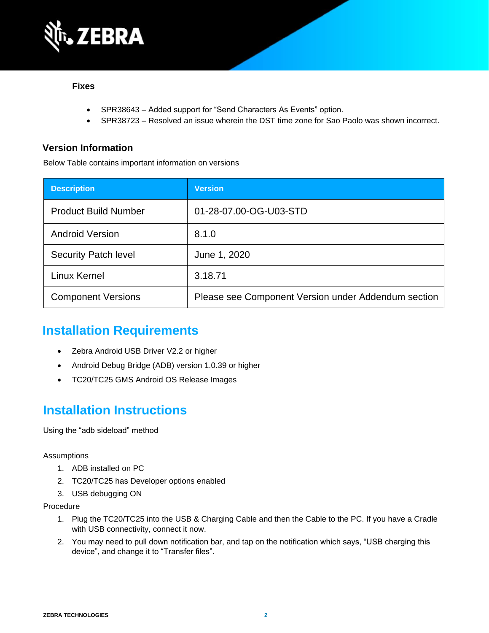

#### **Fixes**

- SPR38643 Added support for "Send Characters As Events" option.
- SPR38723 Resolved an issue wherein the DST time zone for Sao Paolo was shown incorrect.

### **Version Information**

Below Table contains important information on versions

| <b>Description</b>          | <b>Version</b>                                      |
|-----------------------------|-----------------------------------------------------|
| <b>Product Build Number</b> | 01-28-07.00-OG-U03-STD                              |
| <b>Android Version</b>      | 8.1.0                                               |
| <b>Security Patch level</b> | June 1, 2020                                        |
| Linux Kernel                | 3.18.71                                             |
| <b>Component Versions</b>   | Please see Component Version under Addendum section |

# **Installation Requirements**

- Zebra Android USB Driver V2.2 or higher
- Android Debug Bridge (ADB) version 1.0.39 or higher
- TC20/TC25 GMS Android OS Release Images

# **Installation Instructions**

Using the "adb sideload" method

#### Assumptions

- 1. ADB installed on PC
- 2. TC20/TC25 has Developer options enabled
- 3. USB debugging ON

#### Procedure

- 1. Plug the TC20/TC25 into the USB & Charging Cable and then the Cable to the PC. If you have a Cradle with USB connectivity, connect it now.
- 2. You may need to pull down notification bar, and tap on the notification which says, "USB charging this device", and change it to "Transfer files".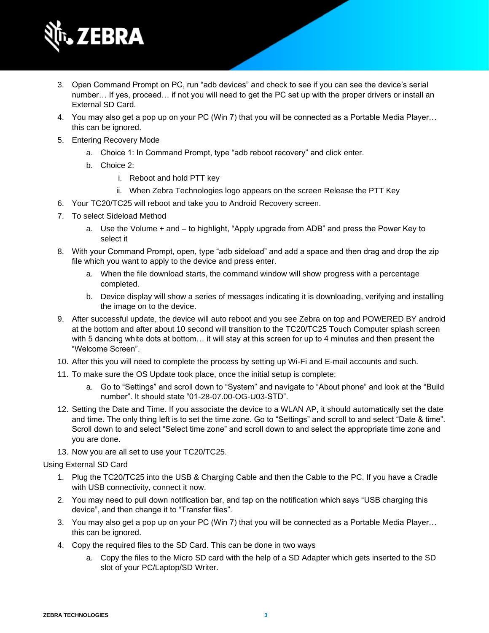

- 3. Open Command Prompt on PC, run "adb devices" and check to see if you can see the device's serial number… If yes, proceed… if not you will need to get the PC set up with the proper drivers or install an External SD Card.
- 4. You may also get a pop up on your PC (Win 7) that you will be connected as a Portable Media Player… this can be ignored.
- 5. Entering Recovery Mode
	- a. Choice 1: In Command Prompt, type "adb reboot recovery" and click enter.
	- b. Choice 2:
		- i. Reboot and hold PTT key
		- ii. When Zebra Technologies logo appears on the screen Release the PTT Key
- 6. Your TC20/TC25 will reboot and take you to Android Recovery screen.
- 7. To select Sideload Method
	- a. Use the Volume + and to highlight, "Apply upgrade from ADB" and press the Power Key to select it
- 8. With your Command Prompt, open, type "adb sideload" and add a space and then drag and drop the zip file which you want to apply to the device and press enter.
	- a. When the file download starts, the command window will show progress with a percentage completed.
	- b. Device display will show a series of messages indicating it is downloading, verifying and installing the image on to the device.
- 9. After successful update, the device will auto reboot and you see Zebra on top and POWERED BY android at the bottom and after about 10 second will transition to the TC20/TC25 Touch Computer splash screen with 5 dancing white dots at bottom… it will stay at this screen for up to 4 minutes and then present the "Welcome Screen".
- 10. After this you will need to complete the process by setting up Wi-Fi and E-mail accounts and such.
- 11. To make sure the OS Update took place, once the initial setup is complete;
	- a. Go to "Settings" and scroll down to "System" and navigate to "About phone" and look at the "Build number". It should state "01-28-07.00-OG-U03-STD".
- 12. Setting the Date and Time. If you associate the device to a WLAN AP, it should automatically set the date and time. The only thing left is to set the time zone. Go to "Settings" and scroll to and select "Date & time". Scroll down to and select "Select time zone" and scroll down to and select the appropriate time zone and you are done.
- 13. Now you are all set to use your TC20/TC25.

Using External SD Card

- 1. Plug the TC20/TC25 into the USB & Charging Cable and then the Cable to the PC. If you have a Cradle with USB connectivity, connect it now.
- 2. You may need to pull down notification bar, and tap on the notification which says "USB charging this device", and then change it to "Transfer files".
- 3. You may also get a pop up on your PC (Win 7) that you will be connected as a Portable Media Player… this can be ignored.
- 4. Copy the required files to the SD Card. This can be done in two ways
	- a. Copy the files to the Micro SD card with the help of a SD Adapter which gets inserted to the SD slot of your PC/Laptop/SD Writer.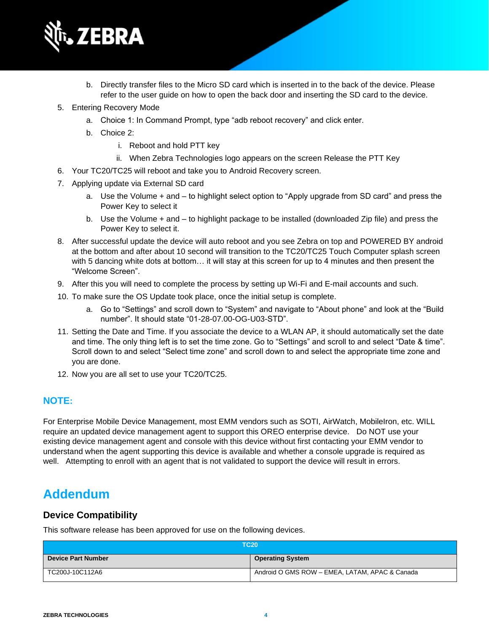

- b. Directly transfer files to the Micro SD card which is inserted in to the back of the device. Please refer to the user guide on how to open the back door and inserting the SD card to the device.
- 5. Entering Recovery Mode
	- a. Choice 1: In Command Prompt, type "adb reboot recovery" and click enter.
	- b. Choice 2:
		- i. Reboot and hold PTT key
		- ii. When Zebra Technologies logo appears on the screen Release the PTT Key
- 6. Your TC20/TC25 will reboot and take you to Android Recovery screen.
- 7. Applying update via External SD card
	- a. Use the Volume + and to highlight select option to "Apply upgrade from SD card" and press the Power Key to select it
	- b. Use the Volume + and to highlight package to be installed (downloaded Zip file) and press the Power Key to select it.
- 8. After successful update the device will auto reboot and you see Zebra on top and POWERED BY android at the bottom and after about 10 second will transition to the TC20/TC25 Touch Computer splash screen with 5 dancing white dots at bottom… it will stay at this screen for up to 4 minutes and then present the "Welcome Screen".
- 9. After this you will need to complete the process by setting up Wi-Fi and E-mail accounts and such.
- 10. To make sure the OS Update took place, once the initial setup is complete.
	- a. Go to "Settings" and scroll down to "System" and navigate to "About phone" and look at the "Build number". It should state "01-28-07.00-OG-U03-STD".
- 11. Setting the Date and Time. If you associate the device to a WLAN AP, it should automatically set the date and time. The only thing left is to set the time zone. Go to "Settings" and scroll to and select "Date & time". Scroll down to and select "Select time zone" and scroll down to and select the appropriate time zone and you are done.
- 12. Now you are all set to use your TC20/TC25.

### **NOTE:**

For Enterprise Mobile Device Management, most EMM vendors such as SOTI, AirWatch, MobileIron, etc. WILL require an updated device management agent to support this OREO enterprise device. Do NOT use your existing device management agent and console with this device without first contacting your EMM vendor to understand when the agent supporting this device is available and whether a console upgrade is required as well. Attempting to enroll with an agent that is not validated to support the device will result in errors.

## **Addendum**

### **Device Compatibility**

This software release has been approved for use on the following devices.

| <b>TC20</b>               |                                                |
|---------------------------|------------------------------------------------|
| <b>Device Part Number</b> | <b>Operating System</b>                        |
| TC200J-10C112A6           | Android O GMS ROW - EMEA, LATAM, APAC & Canada |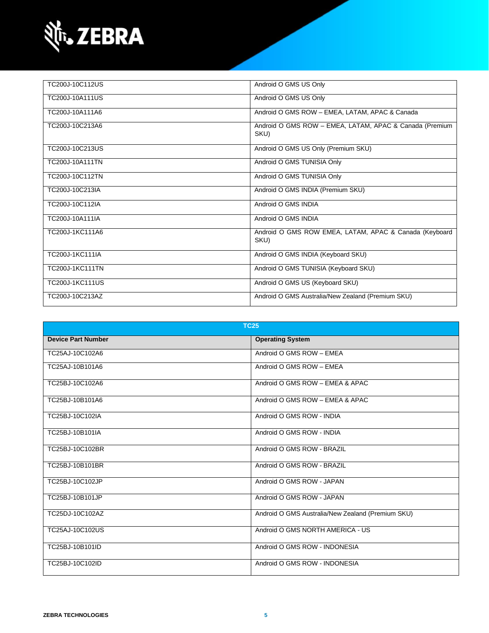

| TC200J-10C112US        | Android O GMS US Only                                           |
|------------------------|-----------------------------------------------------------------|
| TC200J-10A111US        | Android O GMS US Only                                           |
| TC200J-10A111A6        | Android O GMS ROW - EMEA, LATAM, APAC & Canada                  |
| TC200J-10C213A6        | Android O GMS ROW - EMEA, LATAM, APAC & Canada (Premium<br>SKU) |
| TC200J-10C213US        | Android O GMS US Only (Premium SKU)                             |
| TC200J-10A111TN        | Android O GMS TUNISIA Only                                      |
| TC200J-10C112TN        | Android O GMS TUNISIA Only                                      |
| TC200J-10C213IA        | Android O GMS INDIA (Premium SKU)                               |
| TC200J-10C112IA        | Android O GMS INDIA                                             |
| TC200J-10A111IA        | Android O GMS INDIA                                             |
| TC200J-1KC111A6        | Android O GMS ROW EMEA, LATAM, APAC & Canada (Keyboard<br>SKU)  |
| TC200J-1KC111IA        | Android O GMS INDIA (Keyboard SKU)                              |
| TC200J-1KC111TN        | Android O GMS TUNISIA (Keyboard SKU)                            |
| <b>TC200J-1KC111US</b> | Android O GMS US (Keyboard SKU)                                 |
| TC200J-10C213AZ        | Android O GMS Australia/New Zealand (Premium SKU)               |

| <b>TC25</b>               |                                                   |
|---------------------------|---------------------------------------------------|
| <b>Device Part Number</b> | <b>Operating System</b>                           |
| TC25AJ-10C102A6           | Android O GMS ROW - EMEA                          |
| TC25AJ-10B101A6           | Android O GMS ROW - EMEA                          |
| TC25BJ-10C102A6           | Android O GMS ROW - EMEA & APAC                   |
| TC25BJ-10B101A6           | Android O GMS ROW - EMEA & APAC                   |
| TC25BJ-10C102IA           | Android O GMS ROW - INDIA                         |
| TC25BJ-10B101IA           | Android O GMS ROW - INDIA                         |
| TC25BJ-10C102BR           | Android O GMS ROW - BRAZIL                        |
| TC25BJ-10B101BR           | Android O GMS ROW - BRAZIL                        |
| TC25BJ-10C102JP           | Android O GMS ROW - JAPAN                         |
| TC25BJ-10B101JP           | Android O GMS ROW - JAPAN                         |
| TC25DJ-10C102AZ           | Android O GMS Australia/New Zealand (Premium SKU) |
| TC25AJ-10C102US           | Android O GMS NORTH AMERICA - US                  |
| TC25BJ-10B101ID           | Android O GMS ROW - INDONESIA                     |
| TC25BJ-10C102ID           | Android O GMS ROW - INDONESIA                     |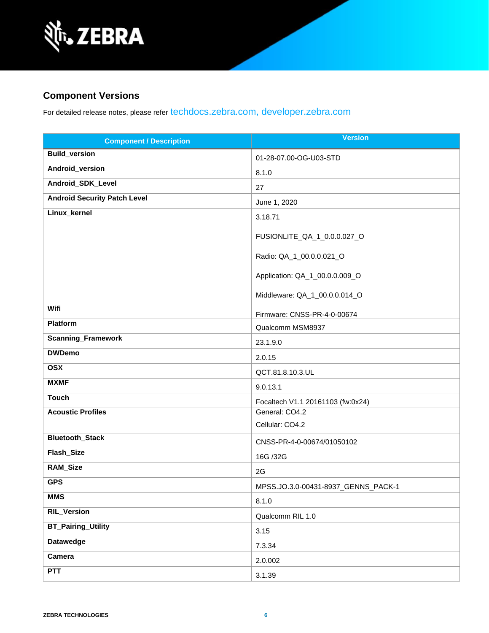

### **Component Versions**

For detailed release notes, please refer [techdocs.zebra.com,](https://techdocs.zebra.com/) [developer.zebra.com](https://developer.zebra.com/)

| <b>Component / Description</b>      | <b>Version</b>                      |
|-------------------------------------|-------------------------------------|
| <b>Build_version</b>                | 01-28-07.00-OG-U03-STD              |
| Android_version                     | 8.1.0                               |
| Android_SDK_Level                   | 27                                  |
| <b>Android Security Patch Level</b> | June 1, 2020                        |
| Linux_kernel                        | 3.18.71                             |
|                                     | FUSIONLITE_QA_1_0.0.0.027_O         |
|                                     | Radio: QA_1_00.0.0.021_O            |
|                                     | Application: QA_1_00.0.0.009_O      |
|                                     | Middleware: QA_1_00.0.0.014_O       |
| Wifi                                | Firmware: CNSS-PR-4-0-00674         |
| <b>Platform</b>                     | Qualcomm MSM8937                    |
| <b>Scanning_Framework</b>           | 23.1.9.0                            |
| <b>DWDemo</b>                       | 2.0.15                              |
| <b>OSX</b>                          | QCT.81.8.10.3.UL                    |
| <b>MXMF</b>                         | 9.0.13.1                            |
| <b>Touch</b>                        | Focaltech V1.1 20161103 (fw:0x24)   |
| <b>Acoustic Profiles</b>            | General: CO4.2                      |
|                                     | Cellular: CO4.2                     |
| <b>Bluetooth_Stack</b>              | CNSS-PR-4-0-00674/01050102          |
| Flash_Size                          | 16G /32G                            |
| RAM_Size                            | 2G                                  |
| <b>GPS</b>                          | MPSS.JO.3.0-00431-8937_GENNS_PACK-1 |
| <b>MMS</b>                          | 8.1.0                               |
| <b>RIL_Version</b>                  | Qualcomm RIL 1.0                    |
| <b>BT_Pairing_Utility</b>           | 3.15                                |
| Datawedge                           | 7.3.34                              |
| Camera                              | 2.0.002                             |
| <b>PTT</b>                          | 3.1.39                              |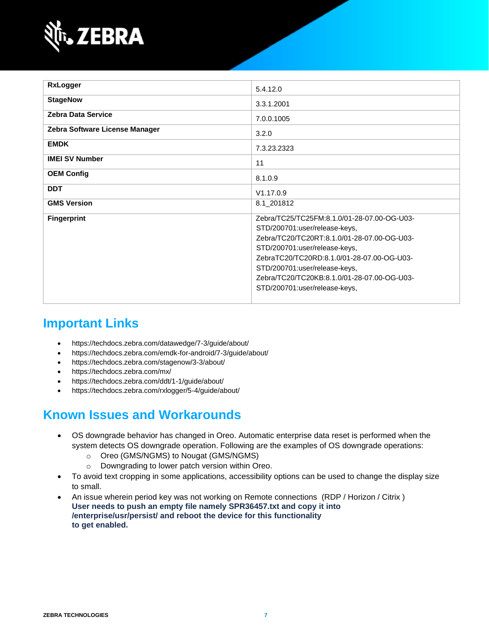

| <b>RxLogger</b>                | 5.4.12.0                                    |
|--------------------------------|---------------------------------------------|
|                                |                                             |
| <b>StageNow</b>                | 3.3.1.2001                                  |
| <b>Zebra Data Service</b>      | 7.0.0.1005                                  |
| Zebra Software License Manager | 3.2.0                                       |
| <b>EMDK</b>                    | 7.3.23.2323                                 |
| <b>IMEI SV Number</b>          | 11                                          |
| <b>OEM Config</b>              | 8.1.0.9                                     |
| <b>DDT</b>                     | V1.17.0.9                                   |
| <b>GMS Version</b>             | 8.1_201812                                  |
| <b>Fingerprint</b>             | Zebra/TC25/TC25FM:8.1.0/01-28-07.00-OG-U03- |
|                                | STD/200701:user/release-keys,               |
|                                | Zebra/TC20/TC20RT:8.1.0/01-28-07.00-OG-U03- |
|                                | STD/200701:user/release-keys,               |
|                                | ZebraTC20/TC20RD:8.1.0/01-28-07.00-OG-U03-  |
|                                | STD/200701:user/release-keys,               |
|                                | Zebra/TC20/TC20KB:8.1.0/01-28-07.00-OG-U03- |
|                                | STD/200701:user/release-keys,               |
|                                |                                             |

# **Important Links**

- <https://techdocs.zebra.com/datawedge/7-3/guide/about/>
- <https://techdocs.zebra.com/emdk-for-android/7-3/guide/about/>
- <https://techdocs.zebra.com/stagenow/3-3/about/>
- <https://techdocs.zebra.com/mx/>
- <https://techdocs.zebra.com/ddt/1-1/guide/about/>
- <https://techdocs.zebra.com/rxlogger/5-4/guide/about/>

## **Known Issues and Workarounds**

- OS downgrade behavior has changed in Oreo. Automatic enterprise data reset is performed when the system detects OS downgrade operation. Following are the examples of OS downgrade operations:
	- o Oreo (GMS/NGMS) to Nougat (GMS/NGMS)
	- o Downgrading to lower patch version within Oreo.
- To avoid text cropping in some applications, accessibility options can be used to change the display size to small.
- An issue wherein period key was not working on Remote connections (RDP / Horizon / Citrix ) **User needs to push an empty file namely SPR36457.txt and copy it into /enterprise/usr/persist/ and reboot the device for this functionality to get enabled.**